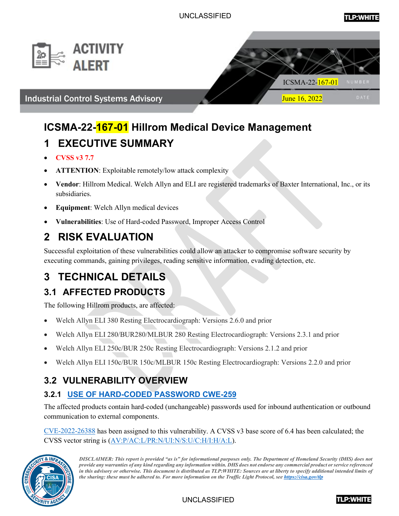





# **ICSMA-22-167-01 Hillrom Medical Device Management**

# **1 EXECUTIVE SUMMARY**

- **CVSS v3 7.7**
- **ATTENTION**: Exploitable remotely/low attack complexity
- **Vendor**: Hillrom Medical. Welch Allyn and ELI are registered trademarks of Baxter International, Inc., or its subsidiaries.
- **Equipment**: Welch Allyn medical devices
- **Vulnerabilities**: Use of Hard-coded Password, Improper Access Control

# **2 RISK EVALUATION**

Successful exploitation of these vulnerabilities could allow an attacker to compromise software security by executing commands, gaining privileges, reading sensitive information, evading detection, etc.

# **3 TECHNICAL DETAILS**

## **3.1 AFFECTED PRODUCTS**

The following Hillrom products, are affected:

- Welch Allyn ELI 380 Resting Electrocardiograph: Versions 2.6.0 and prior
- Welch Allyn ELI 280/BUR280/MLBUR 280 Resting Electrocardiograph: Versions 2.3.1 and prior
- Welch Allyn ELI 250c/BUR 250c Resting Electrocardiograph: Versions 2.1.2 and prior
- Welch Allyn ELI 150c/BUR 150c/MLBUR 150c Resting Electrocardiograph: Versions 2.2.0 and prior

## **3.2 VULNERABILITY OVERVIEW**

### **3.2.1 USE OF HARD-CODED PASSWORD CWE-259**

The affected products contain hard-coded (unchangeable) passwords used for inbound authentication or outbound communication to external components.

CVE-2022-26388 has been assigned to this vulnerability. A CVSS v3 base score of 6.4 has been calculated; the CVSS vector string is (AV:P/AC:L/PR:N/UI:N/S:U/C:H/I:H/A:L).



*DISCLAIMER: This report is provided "as is" for informational purposes only. The Department of Homeland Security (DHS) does not provide any warranties of any kind regarding any information within. DHS does not endorse any commercial product or service referenced in this advisory or otherwise. This document is distributed as TLP:WHITE: Sources are at liberty to specify additional intended limits of the sharing: these must be adhered to. For more information on the Traffic Light Protocol, see https://cisa.gov/tlp*

UNCLASSIFIED

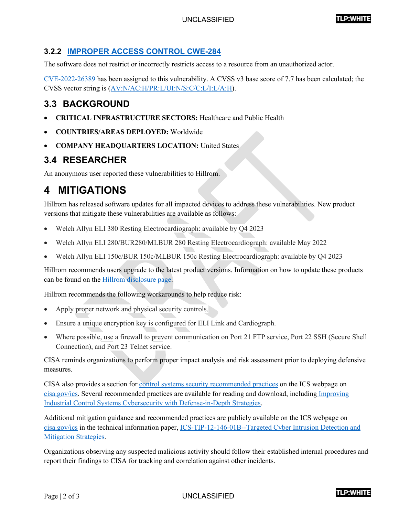#### **3.2.2 [IMPROPER ACCESS CONTROL CWE-284](https://cwe.mitre.org/data/definitions/284.html)**

The software does not restrict or incorrectly restricts access to a resource from an unauthorized actor.

[CVE-2022-26389](http://web.nvd.nist.gov/view/vuln/detail?vulnId=CVE-2022-26389) has been assigned to this vulnerability. A CVSS v3 base score of 7.7 has been calculated; the CVSS vector string is [\(AV:N/AC:H/PR:L/UI:N/S:C/C:L/I:L/A:H\)](https://www.first.org/cvss/calculator/3.0#CVSS:3.0/AV:N/AC:H/PR:L/UI:N/S:C/C:L/I:L/A:H).

### **3.3 BACKGROUND**

- **CRITICAL INFRASTRUCTURE SECTORS: Healthcare and Public Health**
- **COUNTRIES/AREAS DEPLOYED:** Worldwide
- **COMPANY HEADQUARTERS LOCATION:** United States

### **3.4 RESEARCHER**

An anonymous user reported these vulnerabilities to Hillrom.

## **4 MITIGATIONS**

Hillrom has released software updates for all impacted devices to address these vulnerabilities. New product versions that mitigate these vulnerabilities are available as follows:

- Welch Allyn ELI 380 Resting Electrocardiograph: available by Q4 2023
- Welch Allyn ELI 280/BUR280/MLBUR 280 Resting Electrocardiograph: available May 2022
- Welch Allyn ELI 150c/BUR 150c/MLBUR 150c Resting Electrocardiograph: available by Q4 2023

Hillrom recommends users upgrade to the latest product versions. Information on how to update these products can be found on the [Hillrom disclosure page.](https://hillrom.com/en/responsible-disclosures/)

Hillrom recommends the following workarounds to help reduce risk:

- Apply proper network and physical security controls.
- Ensure a unique encryption key is configured for ELI Link and Cardiograph.
- Where possible, use a firewall to prevent communication on Port 21 FTP service, Port 22 SSH (Secure Shell Connection), and Port 23 Telnet service.

CISA reminds organizations to perform proper impact analysis and risk assessment prior to deploying defensive measures.

CISA also provides a section for [control systems security recommended practices](https://www.cisa.gov/uscert/ics/Recommended-Practices) on the ICS webpage on [cisa.gov/ics.](https://cisa.gov/ics) Several recommended practices are available for reading and download, including [Improving](https://www.cisa.gov/uscert/sites/default/files/recommended_practices/NCCIC_ICS-CERT_Defense_in_Depth_2016_S508C.pdf)  [Industrial Control Systems Cybersecurity with Defense-in-Depth Strategies.](https://www.cisa.gov/uscert/sites/default/files/recommended_practices/NCCIC_ICS-CERT_Defense_in_Depth_2016_S508C.pdf)

Additional mitigation guidance and recommended practices are publicly available on the ICS webpage on [cisa.gov/ics](https://cisa.gov/ics) in the technical information paper, [ICS-TIP-12-146-01B--Targeted Cyber Intrusion Detection and](https://www.cisa.gov/uscert/ics/tips/ICS-TIP-12-146-01B)  [Mitigation Strategies.](https://www.cisa.gov/uscert/ics/tips/ICS-TIP-12-146-01B)

Organizations observing any suspected malicious activity should follow their established internal procedures and report their findings to CISA for tracking and correlation against other incidents.